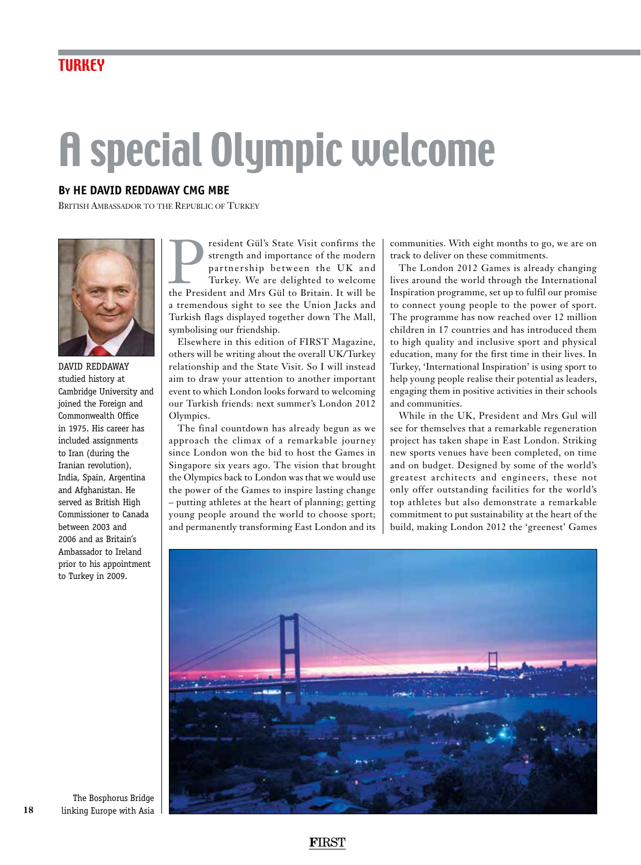## A special Olympic welcome

## **By HE David Reddaway CMG MBE**

British Ambassador to the Republic of Turkey



David Reddaway studied history at Cambridge University and joined the Foreign and Commonwealth Office in 1975. His career has included assignments to Iran (during the Iranian revolution), India, Spain, Argentina and Afghanistan. He served as British High Commissioner to Canada between 2003 and 2006 and as Britain's Ambassador to Ireland prior to his appointment to Turkey in 2009.

**President Gül's State Visit confirms the strength and importance of the modern** partnership between the UK and Turkey. We are delighted to welcome the President and Mrs Gül to Britain. It will be strength and importance of the modern partnership between the UK and Turkey. We are delighted to welcome a tremendous sight to see the Union Jacks and Turkish flags displayed together down The Mall, symbolising our friendship.

Elsewhere in this edition of FIRST Magazine, others will be writing about the overall UK/Turkey relationship and the State Visit. So I will instead aim to draw your attention to another important event to which London looks forward to welcoming our Turkish friends: next summer's London 2012 Olympics.

The final countdown has already begun as we approach the climax of a remarkable journey since London won the bid to host the Games in Singapore six years ago. The vision that brought the Olympics back to London was that we would use the power of the Games to inspire lasting change – putting athletes at the heart of planning; getting young people around the world to choose sport; and permanently transforming East London and its

communities. With eight months to go, we are on track to deliver on these commitments.

The London 2012 Games is already changing lives around the world through the International Inspiration programme, set up to fulfil our promise to connect young people to the power of sport. The programme has now reached over 12 million children in 17 countries and has introduced them to high quality and inclusive sport and physical education, many for the first time in their lives. In Turkey, 'International Inspiration' is using sport to help young people realise their potential as leaders, engaging them in positive activities in their schools and communities.

While in the UK, President and Mrs Gul will see for themselves that a remarkable regeneration project has taken shape in East London. Striking new sports venues have been completed, on time and on budget. Designed by some of the world's greatest architects and engineers, these not only offer outstanding facilities for the world's top athletes but also demonstrate a remarkable commitment to put sustainability at the heart of the build, making London 2012 the 'greenest' Games



The Bosphorus Bridge linking Europe with Asia

**18**

**F**IRST